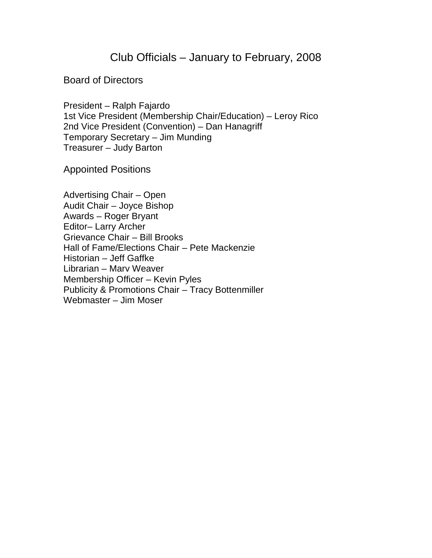# Club Officials – January to February, 2008

### Board of Directors

President – Ralph Fajardo 1st Vice President (Membership Chair/Education) – Leroy Rico 2nd Vice President (Convention) – Dan Hanagriff Temporary Secretary – Jim Munding Treasurer – Judy Barton

Appointed Positions

Advertising Chair – Open Audit Chair – Joyce Bishop Awards – Roger Bryant Editor– Larry Archer Grievance Chair – Bill Brooks Hall of Fame/Elections Chair – Pete Mackenzie Historian – Jeff Gaffke Librarian – Marv Weaver Membership Officer – Kevin Pyles Publicity & Promotions Chair – Tracy Bottenmiller Webmaster – Jim Moser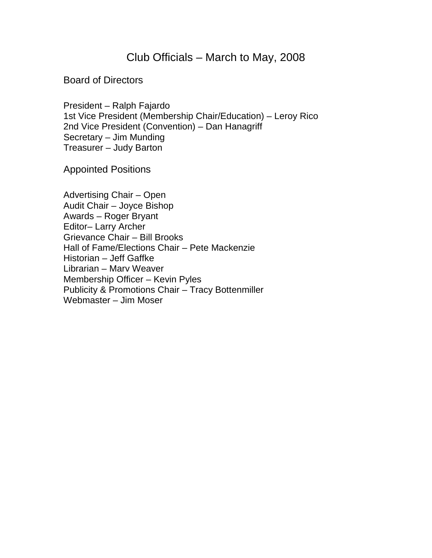## Club Officials – March to May, 2008

#### Board of Directors

President – Ralph Fajardo 1st Vice President (Membership Chair/Education) – Leroy Rico 2nd Vice President (Convention) – Dan Hanagriff Secretary – Jim Munding Treasurer – Judy Barton

Appointed Positions

Advertising Chair – Open Audit Chair – Joyce Bishop Awards – Roger Bryant Editor– Larry Archer Grievance Chair – Bill Brooks Hall of Fame/Elections Chair – Pete Mackenzie Historian – Jeff Gaffke Librarian – Marv Weaver Membership Officer – Kevin Pyles Publicity & Promotions Chair – Tracy Bottenmiller Webmaster – Jim Moser